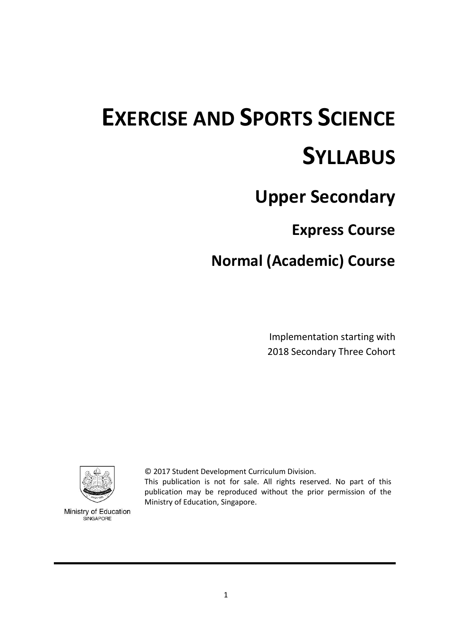# **EXERCISE AND SPORTS SCIENCE SYLLABUS**

# **Upper Secondary**

# **Express Course**

# **Normal (Academic) Course**

Implementation starting with 2018 Secondary Three Cohort



Ministry of Education SINGAPORE

© 2017 Student Development Curriculum Division.

This publication is not for sale. All rights reserved. No part of this publication may be reproduced without the prior permission of the Ministry of Education, Singapore.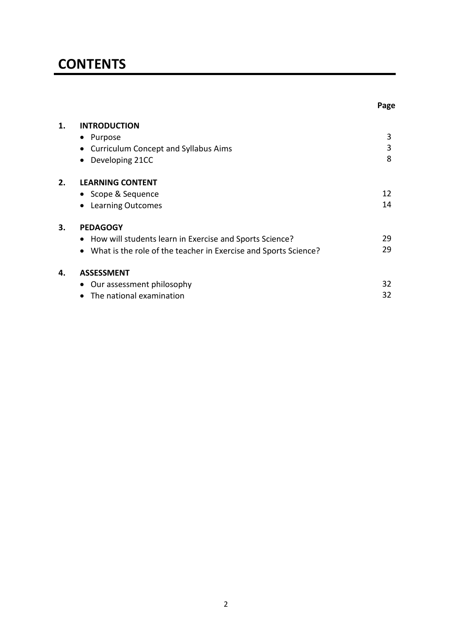# **CONTENTS**

| 1. | <b>INTRODUCTION</b>                                                          |     |
|----|------------------------------------------------------------------------------|-----|
|    | Purpose<br>$\bullet$                                                         | 3   |
|    | • Curriculum Concept and Syllabus Aims                                       | 3   |
|    | Developing 21CC                                                              | 8   |
| 2. | <b>LEARNING CONTENT</b>                                                      |     |
|    | • Scope & Sequence                                                           | 12  |
|    | <b>Learning Outcomes</b>                                                     | 14  |
| 3. | <b>PEDAGOGY</b>                                                              |     |
|    | • How will students learn in Exercise and Sports Science?                    | 29. |
|    | What is the role of the teacher in Exercise and Sports Science?<br>$\bullet$ | 29  |
| 4. | <b>ASSESSMENT</b>                                                            |     |
|    | Our assessment philosophy                                                    | 32  |
|    | The national examination                                                     | 32  |

**Page**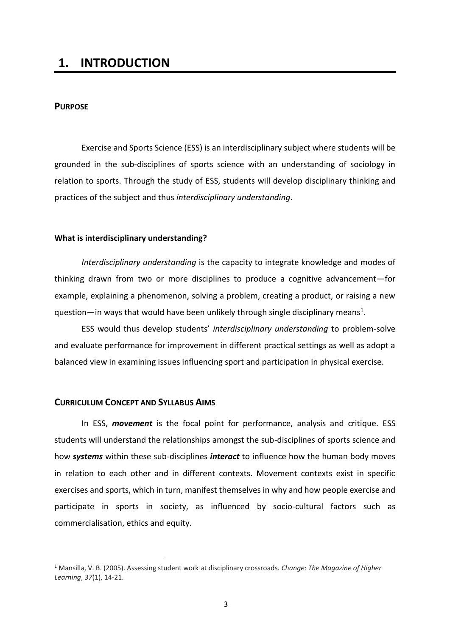# **1. INTRODUCTION**

#### **PURPOSE**

 $\overline{\phantom{a}}$ 

Exercise and Sports Science (ESS) is an interdisciplinary subject where students will be grounded in the sub-disciplines of sports science with an understanding of sociology in relation to sports. Through the study of ESS, students will develop disciplinary thinking and practices of the subject and thus *interdisciplinary understanding*.

#### **What is interdisciplinary understanding?**

*Interdisciplinary understanding* is the capacity to integrate knowledge and modes of thinking drawn from two or more disciplines to produce a cognitive advancement—for example, explaining a phenomenon, solving a problem, creating a product, or raising a new question—in ways that would have been unlikely through single disciplinary means<sup>1</sup>.

ESS would thus develop students' *interdisciplinary understanding* to problem-solve and evaluate performance for improvement in different practical settings as well as adopt a balanced view in examining issues influencing sport and participation in physical exercise.

#### **CURRICULUM CONCEPT AND SYLLABUS AIMS**

In ESS, *movement* is the focal point for performance, analysis and critique. ESS students will understand the relationships amongst the sub-disciplines of sports science and how *systems* within these sub-disciplines *interact* to influence how the human body moves in relation to each other and in different contexts. Movement contexts exist in specific exercises and sports, which in turn, manifest themselves in why and how people exercise and participate in sports in society, as influenced by socio-cultural factors such as commercialisation, ethics and equity.

<sup>1</sup> Mansilla, V. B. (2005). Assessing student work at disciplinary crossroads. *Change: The Magazine of Higher Learning*, *37*(1), 14-21.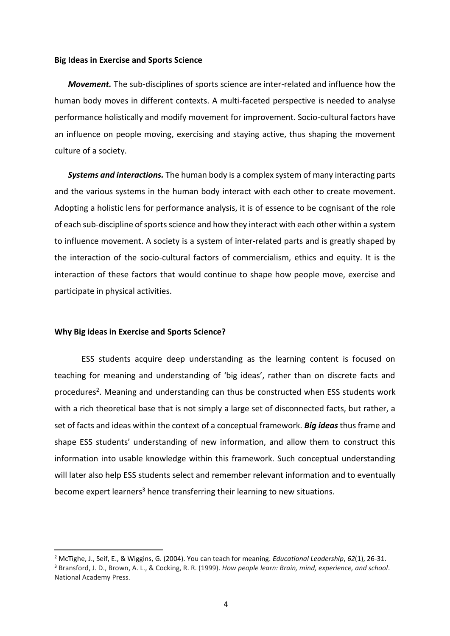#### **Big Ideas in Exercise and Sports Science**

*Movement.* The sub-disciplines of sports science are inter-related and influence how the human body moves in different contexts. A multi-faceted perspective is needed to analyse performance holistically and modify movement for improvement. Socio-cultural factors have an influence on people moving, exercising and staying active, thus shaping the movement culture of a society.

*Systems and interactions.* The human body is a complex system of many interacting parts and the various systems in the human body interact with each other to create movement. Adopting a holistic lens for performance analysis, it is of essence to be cognisant of the role of each sub-discipline of sports science and how they interact with each other within a system to influence movement. A society is a system of inter-related parts and is greatly shaped by the interaction of the socio-cultural factors of commercialism, ethics and equity. It is the interaction of these factors that would continue to shape how people move, exercise and participate in physical activities.

#### **Why Big ideas in Exercise and Sports Science?**

**.** 

ESS students acquire deep understanding as the learning content is focused on teaching for meaning and understanding of 'big ideas', rather than on discrete facts and procedures<sup>2</sup>. Meaning and understanding can thus be constructed when ESS students work with a rich theoretical base that is not simply a large set of disconnected facts, but rather, a set of facts and ideas within the context of a conceptual framework. *Big ideas* thus frame and shape ESS students' understanding of new information, and allow them to construct this information into usable knowledge within this framework. Such conceptual understanding will later also help ESS students select and remember relevant information and to eventually become expert learners<sup>3</sup> hence transferring their learning to new situations.

<sup>2</sup> McTighe, J., Seif, E., & Wiggins, G. (2004). You can teach for meaning. *Educational Leadership*, *62*(1), 26-31. <sup>3</sup> Bransford, J. D., Brown, A. L., & Cocking, R. R. (1999). *How people learn: Brain, mind, experience, and school*. National Academy Press.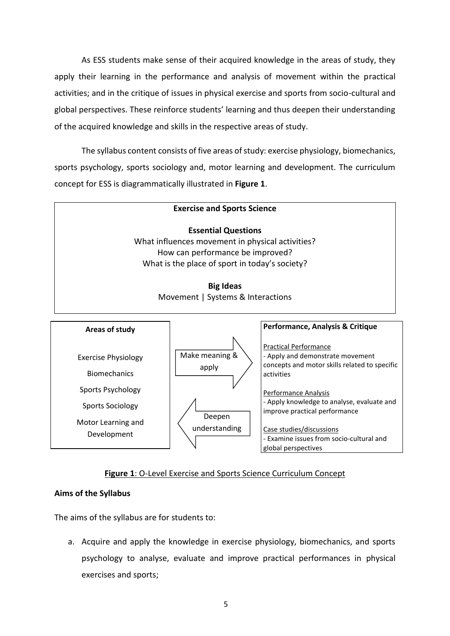As ESS students make sense of their acquired knowledge in the areas of study, they apply their learning in the performance and analysis of movement within the practical activities; and in the critique of issues in physical exercise and sports from socio-cultural and global perspectives. These reinforce students' learning and thus deepen their understanding of the acquired knowledge and skills in the respective areas of study.

The syllabus content consists of five areas of study: exercise physiology, biomechanics, sports psychology, sports sociology and, motor learning and development. The curriculum concept for ESS is diagrammatically illustrated in **Figure 1**.



- Apply knowledge to analyse, evaluate and improve practical performance

Case studies/discussions - Examine issues from socio-cultural and global perspectives

#### **Figure 1**: O-Level Exercise and Sports Science Curriculum Concept

Deepen understanding

#### **Aims of the Syllabus**

Sports Sociology

Motor Learning and Development

The aims of the syllabus are for students to:

a. Acquire and apply the knowledge in exercise physiology, biomechanics, and sports psychology to analyse, evaluate and improve practical performances in physical exercises and sports;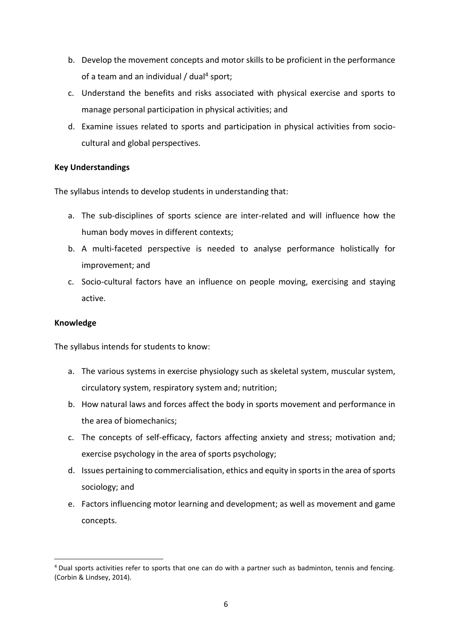- b. Develop the movement concepts and motor skills to be proficient in the performance of a team and an individual / dual<sup>4</sup> sport;
- c. Understand the benefits and risks associated with physical exercise and sports to manage personal participation in physical activities; and
- d. Examine issues related to sports and participation in physical activities from sociocultural and global perspectives.

#### **Key Understandings**

The syllabus intends to develop students in understanding that:

- a. The sub-disciplines of sports science are inter-related and will influence how the human body moves in different contexts;
- b. A multi-faceted perspective is needed to analyse performance holistically for improvement; and
- c. Socio-cultural factors have an influence on people moving, exercising and staying active.

#### **Knowledge**

The syllabus intends for students to know:

- a. The various systems in exercise physiology such as skeletal system, muscular system, circulatory system, respiratory system and; nutrition;
- b. How natural laws and forces affect the body in sports movement and performance in the area of biomechanics;
- c. The concepts of self-efficacy, factors affecting anxiety and stress; motivation and; exercise psychology in the area of sports psychology;
- d. Issues pertaining to commercialisation, ethics and equity in sports in the area of sports sociology; and
- e. Factors influencing motor learning and development; as well as movement and game concepts.

 $\overline{\phantom{a}}$ <sup>4</sup> Dual sports activities refer to sports that one can do with a partner such as badminton, tennis and fencing. (Corbin & Lindsey, 2014).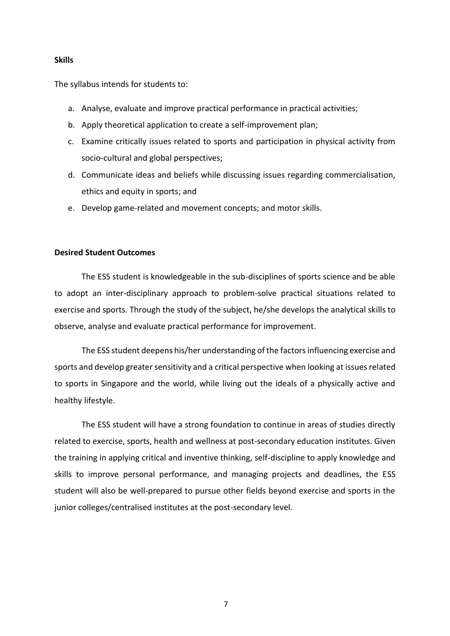#### **Skills**

The syllabus intends for students to:

- a. Analyse, evaluate and improve practical performance in practical activities;
- b. Apply theoretical application to create a self-improvement plan;
- c. Examine critically issues related to sports and participation in physical activity from socio-cultural and global perspectives;
- d. Communicate ideas and beliefs while discussing issues regarding commercialisation, ethics and equity in sports; and
- e. Develop game-related and movement concepts; and motor skills.

#### **Desired Student Outcomes**

The ESS student is knowledgeable in the sub-disciplines of sports science and be able to adopt an inter-disciplinary approach to problem-solve practical situations related to exercise and sports. Through the study of the subject, he/she develops the analytical skills to observe, analyse and evaluate practical performance for improvement.

The ESS student deepens his/her understanding of the factors influencing exercise and sports and develop greater sensitivity and a critical perspective when looking at issues related to sports in Singapore and the world, while living out the ideals of a physically active and healthy lifestyle.

The ESS student will have a strong foundation to continue in areas of studies directly related to exercise, sports, health and wellness at post-secondary education institutes. Given the training in applying critical and inventive thinking, self-discipline to apply knowledge and skills to improve personal performance, and managing projects and deadlines, the ESS student will also be well-prepared to pursue other fields beyond exercise and sports in the junior colleges/centralised institutes at the post-secondary level.

7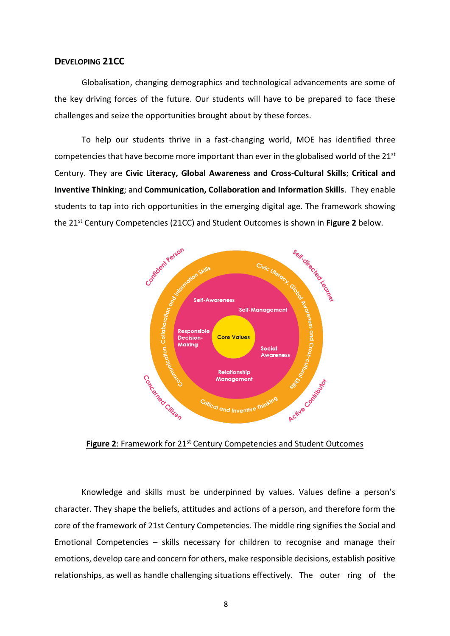#### **DEVELOPING 21CC**

Globalisation, changing demographics and technological advancements are some of the key driving forces of the future. Our students will have to be prepared to face these challenges and seize the opportunities brought about by these forces.

To help our students thrive in a fast-changing world, MOE has identified three competencies that have become more important than ever in the globalised world of the  $21^{st}$ Century. They are **Civic Literacy, Global Awareness and Cross-Cultural Skills**; **Critical and Inventive Thinking**; and **Communication, Collaboration and Information Skills**. They enable students to tap into rich opportunities in the emerging digital age. The framework showing the 21st Century Competencies (21CC) and Student Outcomes is shown in **Figure 2** below.



Figure 2: Framework for 21<sup>st</sup> Century Competencies and Student Outcomes

Knowledge and skills must be underpinned by values. Values define a person's character. They shape the beliefs, attitudes and actions of a person, and therefore form the core of the framework of 21st Century Competencies. The middle ring signifies the Social and Emotional Competencies – skills necessary for children to recognise and manage their emotions, develop care and concern for others, make responsible decisions, establish positive relationships, as well as handle challenging situations effectively. The outer ring of the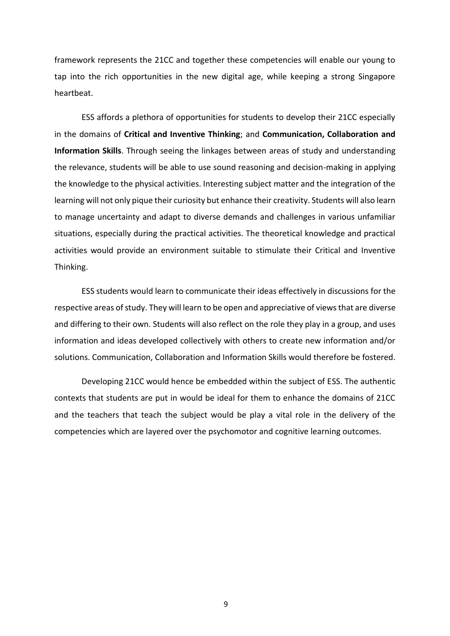framework represents the 21CC and together these competencies will enable our young to tap into the rich opportunities in the new digital age, while keeping a strong Singapore heartbeat.

ESS affords a plethora of opportunities for students to develop their 21CC especially in the domains of **Critical and Inventive Thinking**; and **Communication, Collaboration and Information Skills**. Through seeing the linkages between areas of study and understanding the relevance, students will be able to use sound reasoning and decision-making in applying the knowledge to the physical activities. Interesting subject matter and the integration of the learning will not only pique their curiosity but enhance their creativity. Students will also learn to manage uncertainty and adapt to diverse demands and challenges in various unfamiliar situations, especially during the practical activities. The theoretical knowledge and practical activities would provide an environment suitable to stimulate their Critical and Inventive Thinking.

ESS students would learn to communicate their ideas effectively in discussions for the respective areas of study. They will learn to be open and appreciative of views that are diverse and differing to their own. Students will also reflect on the role they play in a group, and uses information and ideas developed collectively with others to create new information and/or solutions. Communication, Collaboration and Information Skills would therefore be fostered.

Developing 21CC would hence be embedded within the subject of ESS. The authentic contexts that students are put in would be ideal for them to enhance the domains of 21CC and the teachers that teach the subject would be play a vital role in the delivery of the competencies which are layered over the psychomotor and cognitive learning outcomes.

9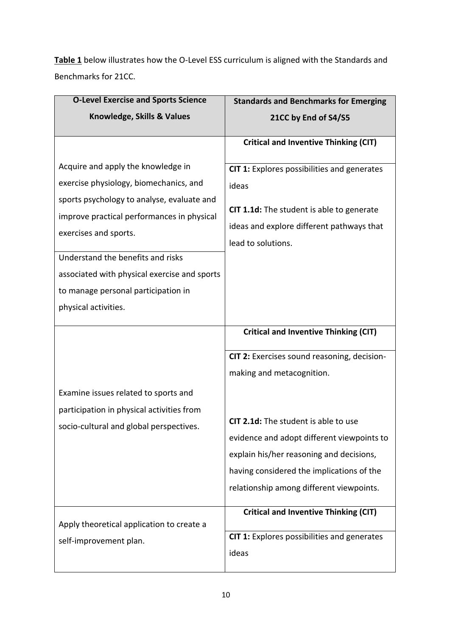**Table 1** below illustrates how the O-Level ESS curriculum is aligned with the Standards and Benchmarks for 21CC.

| <b>O-Level Exercise and Sports Science</b>   | <b>Standards and Benchmarks for Emerging</b> |  |
|----------------------------------------------|----------------------------------------------|--|
| Knowledge, Skills & Values                   | 21CC by End of S4/S5                         |  |
|                                              | <b>Critical and Inventive Thinking (CIT)</b> |  |
| Acquire and apply the knowledge in           | CIT 1: Explores possibilities and generates  |  |
| exercise physiology, biomechanics, and       | ideas                                        |  |
| sports psychology to analyse, evaluate and   | CIT 1.1d: The student is able to generate    |  |
| improve practical performances in physical   | ideas and explore different pathways that    |  |
| exercises and sports.                        | lead to solutions.                           |  |
| Understand the benefits and risks            |                                              |  |
| associated with physical exercise and sports |                                              |  |
| to manage personal participation in          |                                              |  |
| physical activities.                         |                                              |  |
|                                              |                                              |  |
|                                              | <b>Critical and Inventive Thinking (CIT)</b> |  |
|                                              | CIT 2: Exercises sound reasoning, decision-  |  |
|                                              | making and metacognition.                    |  |
| Examine issues related to sports and         |                                              |  |
| participation in physical activities from    |                                              |  |
| socio-cultural and global perspectives.      | CIT 2.1d: The student is able to use         |  |
|                                              | evidence and adopt different viewpoints to   |  |
|                                              | explain his/her reasoning and decisions,     |  |
|                                              | having considered the implications of the    |  |
|                                              | relationship among different viewpoints.     |  |
| Apply theoretical application to create a    | <b>Critical and Inventive Thinking (CIT)</b> |  |
| self-improvement plan.                       | CIT 1: Explores possibilities and generates  |  |
|                                              | ideas                                        |  |
|                                              |                                              |  |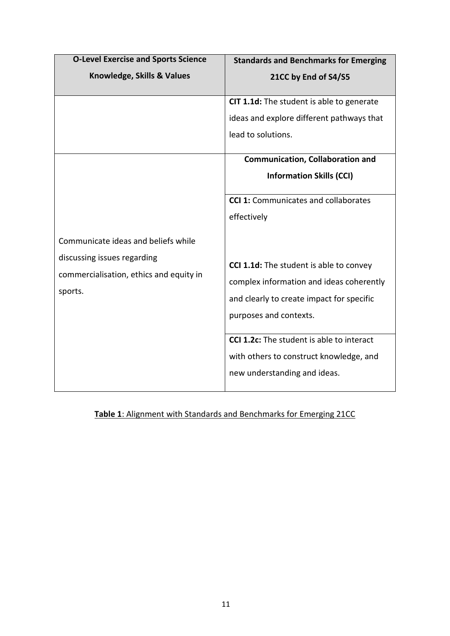| <b>O-Level Exercise and Sports Science</b>                                                                               | <b>Standards and Benchmarks for Emerging</b>                                                                                                                                                                                                                                                                                                            |
|--------------------------------------------------------------------------------------------------------------------------|---------------------------------------------------------------------------------------------------------------------------------------------------------------------------------------------------------------------------------------------------------------------------------------------------------------------------------------------------------|
| Knowledge, Skills & Values                                                                                               | 21CC by End of S4/S5                                                                                                                                                                                                                                                                                                                                    |
|                                                                                                                          | CIT 1.1d: The student is able to generate<br>ideas and explore different pathways that<br>lead to solutions.<br><b>Communication, Collaboration and</b><br><b>Information Skills (CCI)</b>                                                                                                                                                              |
| Communicate ideas and beliefs while<br>discussing issues regarding<br>commercialisation, ethics and equity in<br>sports. | <b>CCI 1:</b> Communicates and collaborates<br>effectively<br>CCI 1.1d: The student is able to convey<br>complex information and ideas coherently<br>and clearly to create impact for specific<br>purposes and contexts.<br><b>CCI 1.2c:</b> The student is able to interact<br>with others to construct knowledge, and<br>new understanding and ideas. |

# **Table 1**: Alignment with Standards and Benchmarks for Emerging 21CC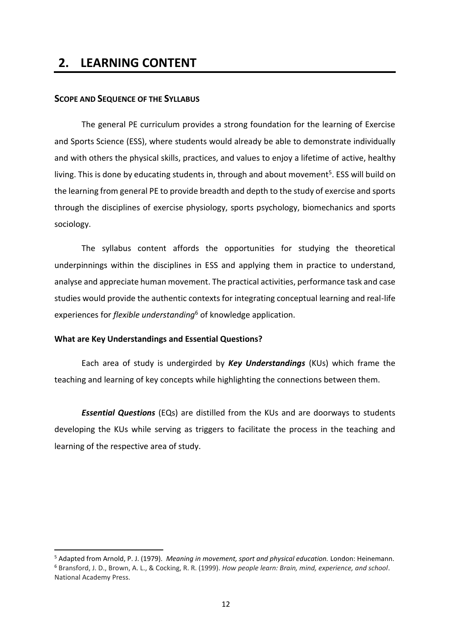# **2. LEARNING CONTENT**

#### **SCOPE AND SEQUENCE OF THE SYLLABUS**

The general PE curriculum provides a strong foundation for the learning of Exercise and Sports Science (ESS), where students would already be able to demonstrate individually and with others the physical skills, practices, and values to enjoy a lifetime of active, healthy living. This is done by educating students in, through and about movement<sup>5</sup>. ESS will build on the learning from general PE to provide breadth and depth to the study of exercise and sports through the disciplines of exercise physiology, sports psychology, biomechanics and sports sociology.

The syllabus content affords the opportunities for studying the theoretical underpinnings within the disciplines in ESS and applying them in practice to understand, analyse and appreciate human movement. The practical activities, performance task and case studies would provide the authentic contexts for integrating conceptual learning and real-life experiences for *flexible understanding*<sup>6</sup> of knowledge application.

#### **What are Key Understandings and Essential Questions?**

**.** 

Each area of study is undergirded by *Key Understandings* (KUs) which frame the teaching and learning of key concepts while highlighting the connections between them.

*Essential Questions* (EQs) are distilled from the KUs and are doorways to students developing the KUs while serving as triggers to facilitate the process in the teaching and learning of the respective area of study.

<sup>5</sup> Adapted from Arnold, P. J. (1979). *Meaning in movement, sport and physical education.* London: Heinemann. <sup>6</sup> Bransford, J. D., Brown, A. L., & Cocking, R. R. (1999). *How people learn: Brain, mind, experience, and school*. National Academy Press.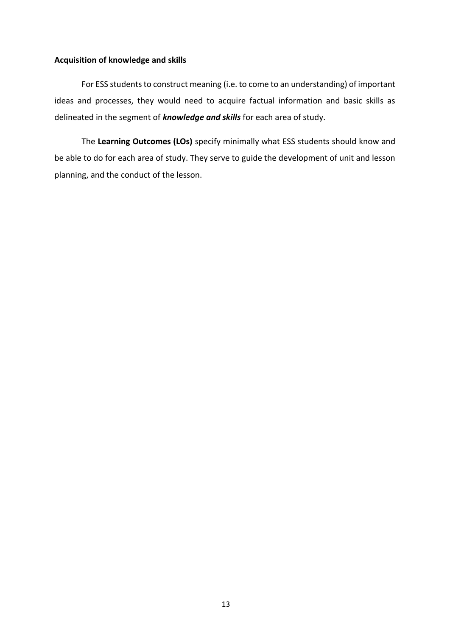#### **Acquisition of knowledge and skills**

For ESS students to construct meaning (i.e. to come to an understanding) of important ideas and processes, they would need to acquire factual information and basic skills as delineated in the segment of *knowledge and skills* for each area of study.

The **Learning Outcomes (LOs)** specify minimally what ESS students should know and be able to do for each area of study. They serve to guide the development of unit and lesson planning, and the conduct of the lesson.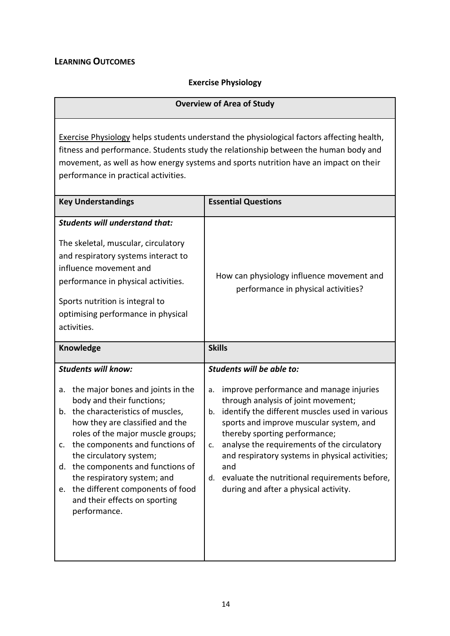### **LEARNING OUTCOMES**

# **Exercise Physiology**

| <b>Overview of Area of Study</b>                                                                                                                                                                                                                                                                                                                                                                                                                           |                                                                                                                                                                                                                                                                                                                                                                                                                                                                      |  |
|------------------------------------------------------------------------------------------------------------------------------------------------------------------------------------------------------------------------------------------------------------------------------------------------------------------------------------------------------------------------------------------------------------------------------------------------------------|----------------------------------------------------------------------------------------------------------------------------------------------------------------------------------------------------------------------------------------------------------------------------------------------------------------------------------------------------------------------------------------------------------------------------------------------------------------------|--|
| Exercise Physiology helps students understand the physiological factors affecting health,<br>fitness and performance. Students study the relationship between the human body and<br>movement, as well as how energy systems and sports nutrition have an impact on their<br>performance in practical activities.                                                                                                                                           |                                                                                                                                                                                                                                                                                                                                                                                                                                                                      |  |
| <b>Key Understandings</b>                                                                                                                                                                                                                                                                                                                                                                                                                                  | <b>Essential Questions</b>                                                                                                                                                                                                                                                                                                                                                                                                                                           |  |
| <b>Students will understand that:</b><br>The skeletal, muscular, circulatory<br>and respiratory systems interact to<br>influence movement and<br>performance in physical activities.<br>Sports nutrition is integral to<br>optimising performance in physical<br>activities.                                                                                                                                                                               | How can physiology influence movement and<br>performance in physical activities?                                                                                                                                                                                                                                                                                                                                                                                     |  |
| Knowledge                                                                                                                                                                                                                                                                                                                                                                                                                                                  | <b>Skills</b>                                                                                                                                                                                                                                                                                                                                                                                                                                                        |  |
| <b>Students will know:</b><br>the major bones and joints in the<br>а.<br>body and their functions;<br>the characteristics of muscles,<br>b.<br>how they are classified and the<br>roles of the major muscle groups;<br>the components and functions of<br>c.<br>the circulatory system;<br>the components and functions of<br>d.<br>the respiratory system; and<br>the different components of food<br>e.<br>and their effects on sporting<br>performance. | Students will be able to:<br>improve performance and manage injuries<br>a.<br>through analysis of joint movement;<br>identify the different muscles used in various<br>b.<br>sports and improve muscular system, and<br>thereby sporting performance;<br>analyse the requirements of the circulatory<br>c.<br>and respiratory systems in physical activities;<br>and<br>evaluate the nutritional requirements before,<br>d.<br>during and after a physical activity. |  |
|                                                                                                                                                                                                                                                                                                                                                                                                                                                            |                                                                                                                                                                                                                                                                                                                                                                                                                                                                      |  |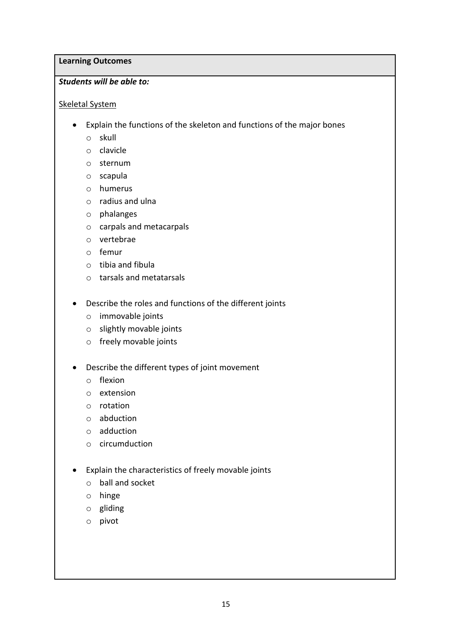#### **Learning Outcomes**

#### *Students will be able to:*

#### Skeletal System

- Explain the functions of the skeleton and functions of the major bones
	- o skull
	- o clavicle
	- o sternum
	- o scapula
	- o humerus
	- o radius and ulna
	- o phalanges
	- o carpals and metacarpals
	- o vertebrae
	- o femur
	- o tibia and fibula
	- o tarsals and metatarsals
- Describe the roles and functions of the different joints
	- o immovable joints
	- o slightly movable joints
	- o freely movable joints
- Describe the different types of joint movement
	- o flexion
	- o extension
	- o rotation
	- o abduction
	- o adduction
	- o circumduction
- Explain the characteristics of freely movable joints
	- o ball and socket
	- o hinge
	- o gliding
	- o pivot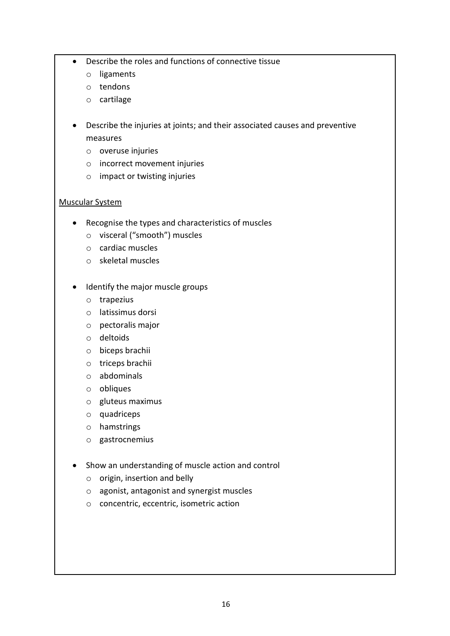- Describe the roles and functions of connective tissue
	- o ligaments
	- o tendons
	- o cartilage
- Describe the injuries at joints; and their associated causes and preventive measures
	- o overuse injuries
	- o incorrect movement injuries
	- o impact or twisting injuries

#### Muscular System

- Recognise the types and characteristics of muscles
	- o visceral ("smooth") muscles
	- o cardiac muscles
	- o skeletal muscles
- Identify the major muscle groups
	- o trapezius
	- o latissimus dorsi
	- o pectoralis major
	- o deltoids
	- o biceps brachii
	- o triceps brachii
	- o abdominals
	- o obliques
	- o gluteus maximus
	- o quadriceps
	- o hamstrings
	- o gastrocnemius
- Show an understanding of muscle action and control
	- o origin, insertion and belly
	- o agonist, antagonist and synergist muscles
	- o concentric, eccentric, isometric action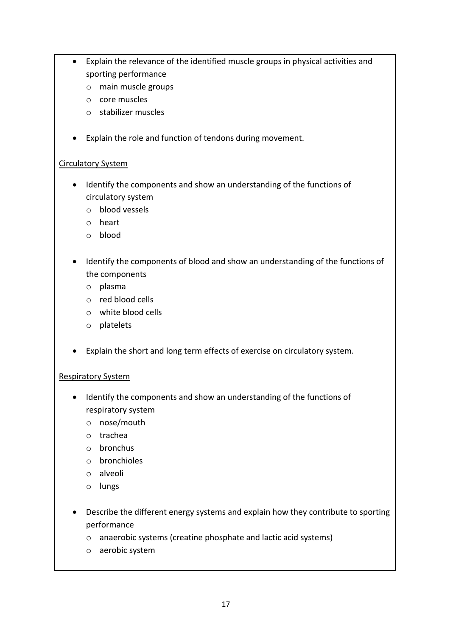- Explain the relevance of the identified muscle groups in physical activities and sporting performance
	- o main muscle groups
	- o core muscles
	- o stabilizer muscles
- Explain the role and function of tendons during movement.

#### Circulatory System

- Identify the components and show an understanding of the functions of circulatory system
	- o blood vessels
	- o heart
	- o blood
- Identify the components of blood and show an understanding of the functions of the components
	- o plasma
	- o red blood cells
	- o white blood cells
	- o platelets
- Explain the short and long term effects of exercise on circulatory system.

#### Respiratory System

- Identify the components and show an understanding of the functions of respiratory system
	- o nose/mouth
	- o trachea
	- o bronchus
	- o bronchioles
	- o alveoli
	- o lungs
- Describe the different energy systems and explain how they contribute to sporting performance
	- o anaerobic systems (creatine phosphate and lactic acid systems)
	- o aerobic system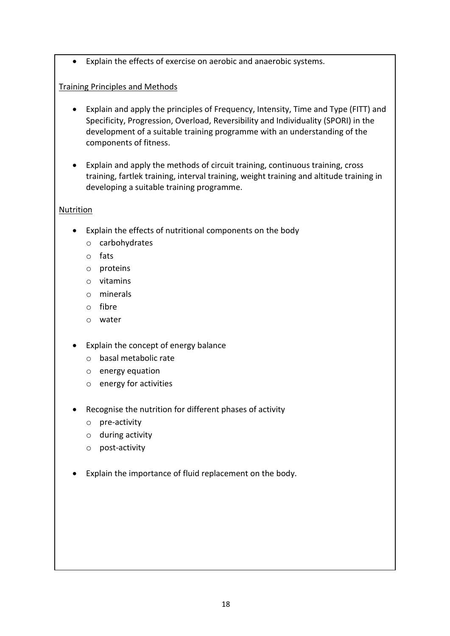Explain the effects of exercise on aerobic and anaerobic systems.

#### Training Principles and Methods

- Explain and apply the principles of Frequency, Intensity, Time and Type (FITT) and Specificity, Progression, Overload, Reversibility and Individuality (SPORI) in the development of a suitable training programme with an understanding of the components of fitness.
- Explain and apply the methods of circuit training, continuous training, cross training, fartlek training, interval training, weight training and altitude training in developing a suitable training programme.

#### Nutrition

- Explain the effects of nutritional components on the body
	- o carbohydrates
	- o fats
	- o proteins
	- o vitamins
	- o minerals
	- o fibre
	- o water
- Explain the concept of energy balance
	- o basal metabolic rate
	- o energy equation
	- o energy for activities
- Recognise the nutrition for different phases of activity
	- o pre-activity
	- o during activity
	- o post-activity
- Explain the importance of fluid replacement on the body.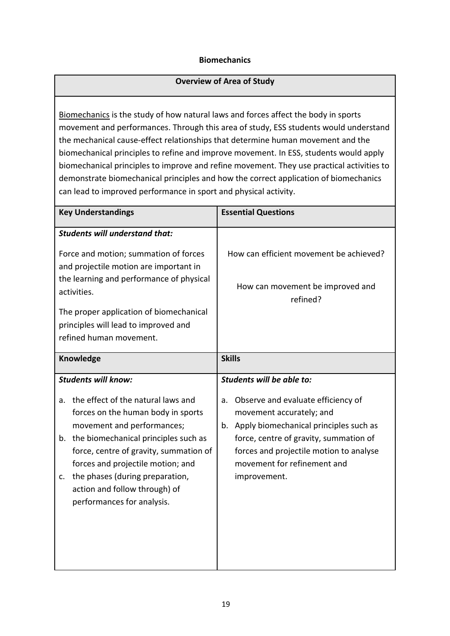#### **Biomechanics**

#### **Overview of Area of Study**

Biomechanics is the study of how natural laws and forces affect the body in sports movement and performances. Through this area of study, ESS students would understand the mechanical cause-effect relationships that determine human movement and the biomechanical principles to refine and improve movement. In ESS, students would apply biomechanical principles to improve and refine movement. They use practical activities to demonstrate biomechanical principles and how the correct application of biomechanics can lead to improved performance in sport and physical activity.

| <b>Key Understandings</b>                                                                                                                                                                                                                                                                                                                                                       | <b>Essential Questions</b>                                                                                                                                                                                                                                                         |
|---------------------------------------------------------------------------------------------------------------------------------------------------------------------------------------------------------------------------------------------------------------------------------------------------------------------------------------------------------------------------------|------------------------------------------------------------------------------------------------------------------------------------------------------------------------------------------------------------------------------------------------------------------------------------|
| <b>Students will understand that:</b>                                                                                                                                                                                                                                                                                                                                           |                                                                                                                                                                                                                                                                                    |
| Force and motion; summation of forces<br>and projectile motion are important in<br>the learning and performance of physical                                                                                                                                                                                                                                                     | How can efficient movement be achieved?<br>How can movement be improved and                                                                                                                                                                                                        |
| activities.                                                                                                                                                                                                                                                                                                                                                                     | refined?                                                                                                                                                                                                                                                                           |
| The proper application of biomechanical<br>principles will lead to improved and<br>refined human movement.                                                                                                                                                                                                                                                                      |                                                                                                                                                                                                                                                                                    |
| Knowledge                                                                                                                                                                                                                                                                                                                                                                       | <b>Skills</b>                                                                                                                                                                                                                                                                      |
| <b>Students will know:</b><br>the effect of the natural laws and<br>a.<br>forces on the human body in sports<br>movement and performances;<br>the biomechanical principles such as<br>b.<br>force, centre of gravity, summation of<br>forces and projectile motion; and<br>the phases (during preparation,<br>c.<br>action and follow through) of<br>performances for analysis. | Students will be able to:<br>Observe and evaluate efficiency of<br>a.<br>movement accurately; and<br>b. Apply biomechanical principles such as<br>force, centre of gravity, summation of<br>forces and projectile motion to analyse<br>movement for refinement and<br>improvement. |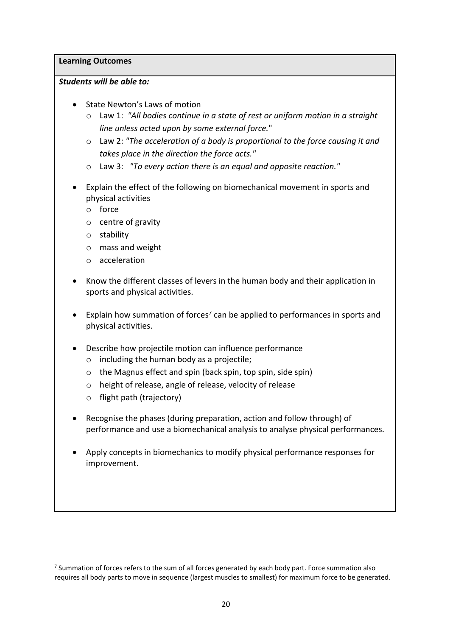**Learning Outcomes**

#### *Students will be able to:*

- State Newton's Laws of motion
	- o Law 1: *"All bodies continue in a state of rest or uniform motion in a straight line unless acted upon by some external force.*"
	- o Law 2: *"The acceleration of a body is proportional to the force causing it and takes place in the direction the force acts."*
	- o Law 3: *"To every action there is an equal and opposite reaction."*
- Explain the effect of the following on biomechanical movement in sports and physical activities
	- o force
	- o centre of gravity
	- o stability
	- o mass and weight
	- o acceleration
- Know the different classes of levers in the human body and their application in sports and physical activities.
- Explain how summation of forces<sup>7</sup> can be applied to performances in sports and physical activities.
- Describe how projectile motion can influence performance
	- $\circ$  including the human body as a projectile;
	- o the Magnus effect and spin (back spin, top spin, side spin)
	- o height of release, angle of release, velocity of release
	- o flight path (trajectory)

 $\overline{\phantom{a}}$ 

- Recognise the phases (during preparation, action and follow through) of performance and use a biomechanical analysis to analyse physical performances.
- Apply concepts in biomechanics to modify physical performance responses for improvement.

 $<sup>7</sup>$  Summation of forces refers to the sum of all forces generated by each body part. Force summation also</sup> requires all body parts to move in sequence (largest muscles to smallest) for maximum force to be generated.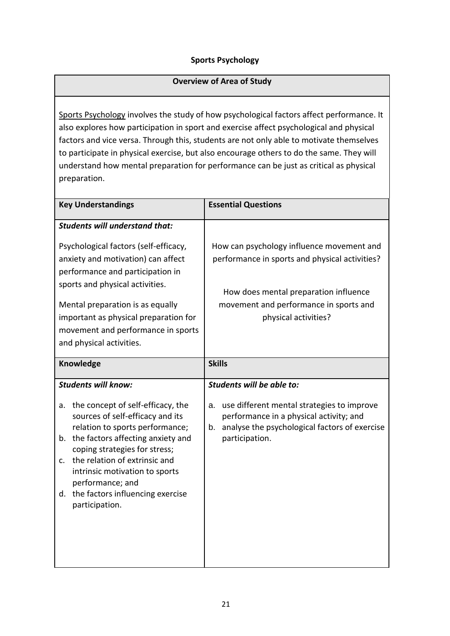#### **Sports Psychology**

#### **Overview of Area of Study**

Sports Psychology involves the study of how psychological factors affect performance. It also explores how participation in sport and exercise affect psychological and physical factors and vice versa. Through this, students are not only able to motivate themselves to participate in physical exercise, but also encourage others to do the same. They will understand how mental preparation for performance can be just as critical as physical preparation.

| <b>Key Understandings</b>                                                                                                                                                                                                                                                                                                                                                         | <b>Essential Questions</b>                                                                                                                                                                        |
|-----------------------------------------------------------------------------------------------------------------------------------------------------------------------------------------------------------------------------------------------------------------------------------------------------------------------------------------------------------------------------------|---------------------------------------------------------------------------------------------------------------------------------------------------------------------------------------------------|
| <b>Students will understand that:</b>                                                                                                                                                                                                                                                                                                                                             |                                                                                                                                                                                                   |
| Psychological factors (self-efficacy,<br>anxiety and motivation) can affect<br>performance and participation in<br>sports and physical activities.                                                                                                                                                                                                                                | How can psychology influence movement and<br>performance in sports and physical activities?<br>How does mental preparation influence                                                              |
| Mental preparation is as equally<br>important as physical preparation for<br>movement and performance in sports<br>and physical activities.                                                                                                                                                                                                                                       | movement and performance in sports and<br>physical activities?                                                                                                                                    |
| Knowledge                                                                                                                                                                                                                                                                                                                                                                         | <b>Skills</b>                                                                                                                                                                                     |
| <b>Students will know:</b><br>the concept of self-efficacy, the<br>а.<br>sources of self-efficacy and its<br>relation to sports performance;<br>the factors affecting anxiety and<br>b.<br>coping strategies for stress;<br>the relation of extrinsic and<br>c.<br>intrinsic motivation to sports<br>performance; and<br>the factors influencing exercise<br>d.<br>participation. | Students will be able to:<br>use different mental strategies to improve<br>a.<br>performance in a physical activity; and<br>analyse the psychological factors of exercise<br>b.<br>participation. |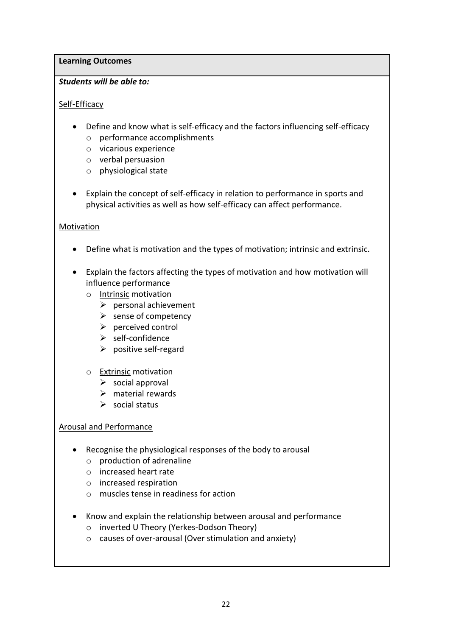#### **Learning Outcomes**

#### *Students will be able to:*

#### Self-Efficacy

- Define and know what is self-efficacy and the factors influencing self-efficacy o performance accomplishments
	- o vicarious experience
	- o verbal persuasion
	- o physiological state
- Explain the concept of self-efficacy in relation to performance in sports and physical activities as well as how self-efficacy can affect performance.

#### **Motivation**

- Define what is motivation and the types of motivation; intrinsic and extrinsic.
- Explain the factors affecting the types of motivation and how motivation will influence performance
	- o Intrinsic motivation
		- $\triangleright$  personal achievement
		- $\triangleright$  sense of competency
		- $\triangleright$  perceived control
		- $\triangleright$  self-confidence
		- $\triangleright$  positive self-regard
	- o Extrinsic motivation
		- $\triangleright$  social approval
		- $\triangleright$  material rewards
		- $\triangleright$  social status

#### Arousal and Performance

- Recognise the physiological responses of the body to arousal
	- $\circ$  production of adrenaline
	- o increased heart rate
	- o increased respiration
	- o muscles tense in readiness for action
- Know and explain the relationship between arousal and performance
	- o inverted U Theory (Yerkes-Dodson Theory)
	- o causes of over-arousal (Over stimulation and anxiety)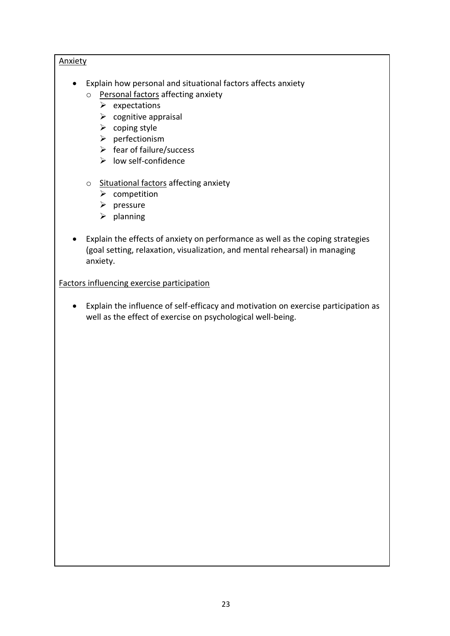#### **Anxiety**

- Explain how personal and situational factors affects anxiety
	- o Personal factors affecting anxiety
		- $\triangleright$  expectations
		- $\triangleright$  cognitive appraisal
		- $\triangleright$  coping style
		- $\triangleright$  perfectionism
		- $\triangleright$  fear of failure/success
		- $\triangleright$  low self-confidence
	- o Situational factors affecting anxiety
		- $\triangleright$  competition
		- $\triangleright$  pressure
		- $\triangleright$  planning
- Explain the effects of anxiety on performance as well as the coping strategies (goal setting, relaxation, visualization, and mental rehearsal) in managing anxiety.

#### Factors influencing exercise participation

 Explain the influence of self-efficacy and motivation on exercise participation as well as the effect of exercise on psychological well-being.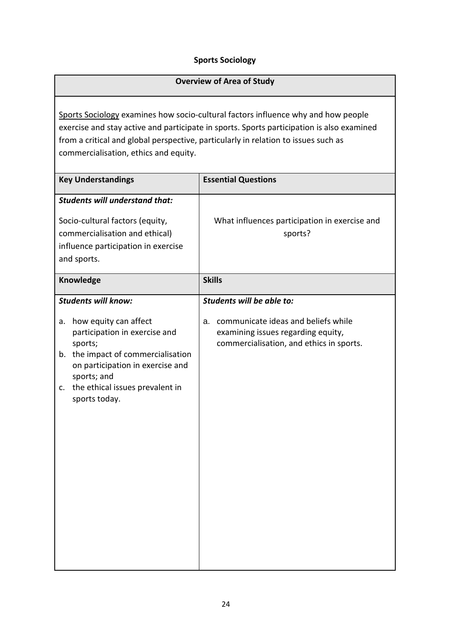#### **Sports Sociology**

#### **Overview of Area of Study**

Sports Sociology examines how socio-cultural factors influence why and how people exercise and stay active and participate in sports. Sports participation is also examined from a critical and global perspective, particularly in relation to issues such as commercialisation, ethics and equity.

| <b>Key Understandings</b>                                                                                                                                        | <b>Essential Questions</b>                                                     |
|------------------------------------------------------------------------------------------------------------------------------------------------------------------|--------------------------------------------------------------------------------|
| <b>Students will understand that:</b><br>Socio-cultural factors (equity,<br>commercialisation and ethical)<br>influence participation in exercise<br>and sports. | What influences participation in exercise and<br>sports?                       |
| Knowledge                                                                                                                                                        | <b>Skills</b>                                                                  |
| <b>Students will know:</b><br>how equity can affect<br>a.                                                                                                        | Students will be able to:<br>communicate ideas and beliefs while<br>a.         |
| participation in exercise and<br>sports;<br>the impact of commercialisation<br>b.                                                                                | examining issues regarding equity,<br>commercialisation, and ethics in sports. |
| on participation in exercise and<br>sports; and                                                                                                                  |                                                                                |
| the ethical issues prevalent in<br>c.<br>sports today.                                                                                                           |                                                                                |
|                                                                                                                                                                  |                                                                                |
|                                                                                                                                                                  |                                                                                |
|                                                                                                                                                                  |                                                                                |
|                                                                                                                                                                  |                                                                                |
|                                                                                                                                                                  |                                                                                |
|                                                                                                                                                                  |                                                                                |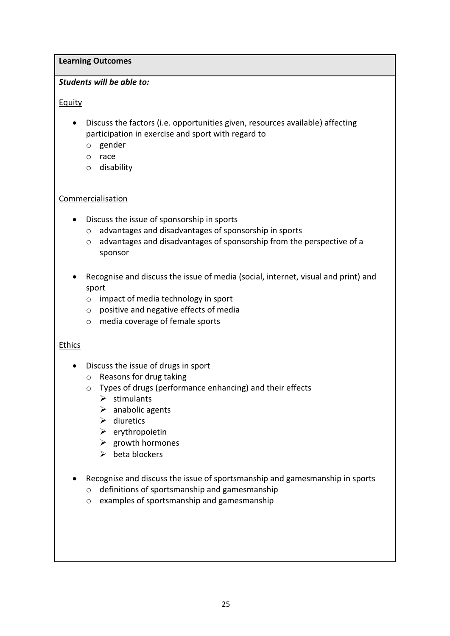#### **Learning Outcomes**

#### *Students will be able to:*

#### Equity

- Discuss the factors (i.e. opportunities given, resources available) affecting participation in exercise and sport with regard to
	- o gender
	- o race
	- o disability

#### Commercialisation

- Discuss the issue of sponsorship in sports
	- o advantages and disadvantages of sponsorship in sports
	- o advantages and disadvantages of sponsorship from the perspective of a sponsor
- Recognise and discuss the issue of media (social, internet, visual and print) and sport
	- o impact of media technology in sport
	- o positive and negative effects of media
	- o media coverage of female sports

#### Ethics

- Discuss the issue of drugs in sport
	- o Reasons for drug taking
	- o Types of drugs (performance enhancing) and their effects
		- $\triangleright$  stimulants
		- $\triangleright$  anabolic agents
		- $\triangleright$  diuretics
		- $\triangleright$  erythropoietin
		- $\triangleright$  growth hormones
		- $\triangleright$  beta blockers
- Recognise and discuss the issue of sportsmanship and gamesmanship in sports
	- o definitions of sportsmanship and gamesmanship
	- o examples of sportsmanship and gamesmanship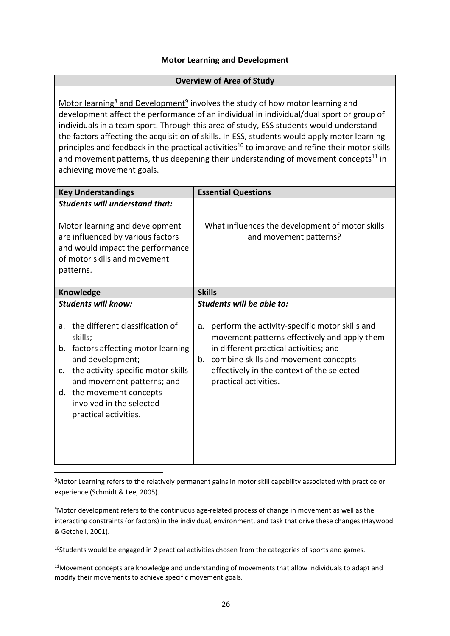#### **Motor Learning and Development**

#### **Overview of Area of Study**

Motor learning<sup>8</sup> and Development<sup>9</sup> involves the study of how motor learning and development affect the performance of an individual in individual/dual sport or group of individuals in a team sport. Through this area of study, ESS students would understand the factors affecting the acquisition of skills. In ESS, students would apply motor learning principles and feedback in the practical activities<sup>10</sup> to improve and refine their motor skills and movement patterns, thus deepening their understanding of movement concepts $^{11}$  in achieving movement goals.

| <b>Key Understandings</b>                                                                                                                                                                                                                                                                                                          | <b>Essential Questions</b>                                                                                                                                                                                                                                                                       |
|------------------------------------------------------------------------------------------------------------------------------------------------------------------------------------------------------------------------------------------------------------------------------------------------------------------------------------|--------------------------------------------------------------------------------------------------------------------------------------------------------------------------------------------------------------------------------------------------------------------------------------------------|
| <b>Students will understand that:</b><br>Motor learning and development<br>are influenced by various factors<br>and would impact the performance<br>of motor skills and movement<br>patterns.                                                                                                                                      | What influences the development of motor skills<br>and movement patterns?                                                                                                                                                                                                                        |
| Knowledge                                                                                                                                                                                                                                                                                                                          | <b>Skills</b>                                                                                                                                                                                                                                                                                    |
| <b>Students will know:</b><br>the different classification of<br>a <sub>z</sub><br>skills;<br>factors affecting motor learning<br>b.<br>and development;<br>the activity-specific motor skills<br>$\mathsf{C}$ .<br>and movement patterns; and<br>the movement concepts<br>d.<br>involved in the selected<br>practical activities. | Students will be able to:<br>perform the activity-specific motor skills and<br>a.<br>movement patterns effectively and apply them<br>in different practical activities; and<br>combine skills and movement concepts<br>b.<br>effectively in the context of the selected<br>practical activities. |

8Motor Learning refers to the relatively permanent gains in motor skill capability associated with practice or experience (Schmidt & Lee, 2005).

<sup>9</sup>Motor development refers to the continuous age-related process of change in movement as well as the interacting constraints (or factors) in the individual, environment, and task that drive these changes (Haywood & Getchell, 2001).

 $10$ Students would be engaged in 2 practical activities chosen from the categories of sports and games.

 $11$ Movement concepts are knowledge and understanding of movements that allow individuals to adapt and modify their movements to achieve specific movement goals.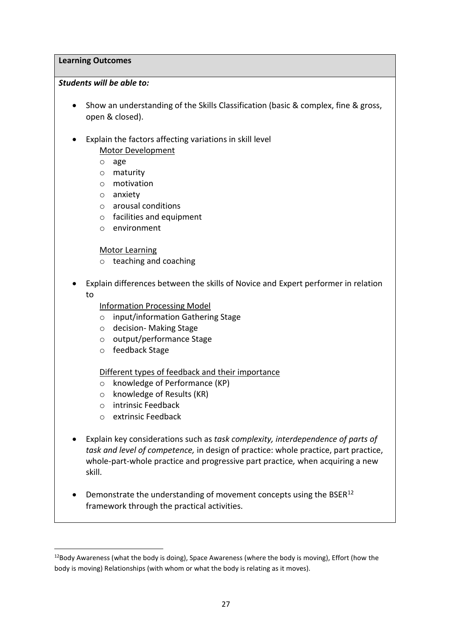#### **Learning Outcomes**

#### *Students will be able to:*

- Show an understanding of the Skills Classification (basic & complex, fine & gross, open & closed).
- Explain the factors affecting variations in skill level Motor Development
	- o age
	- o maturity
	- o motivation
	- o anxiety
	- o arousal conditions
	- o facilities and equipment
	- o environment

#### Motor Learning

- o teaching and coaching
- Explain differences between the skills of Novice and Expert performer in relation to

#### Information Processing Model

- o input/information Gathering Stage
- o decision- Making Stage
- o output/performance Stage
- o feedback Stage

#### Different types of feedback and their importance

- o knowledge of Performance (KP)
- o knowledge of Results (KR)
- o intrinsic Feedback
- o extrinsic Feedback

1

- Explain key considerations such as *task complexity, interdependence of parts of task and level of competence,* in design of practice: whole practice, part practice, whole-part-whole practice and progressive part practice*,* when acquiring a new skill.
- Demonstrate the understanding of movement concepts using the BSER $^{12}$ framework through the practical activities.

 $12$ Body Awareness (what the body is doing), Space Awareness (where the body is moving), Effort (how the body is moving) Relationships (with whom or what the body is relating as it moves).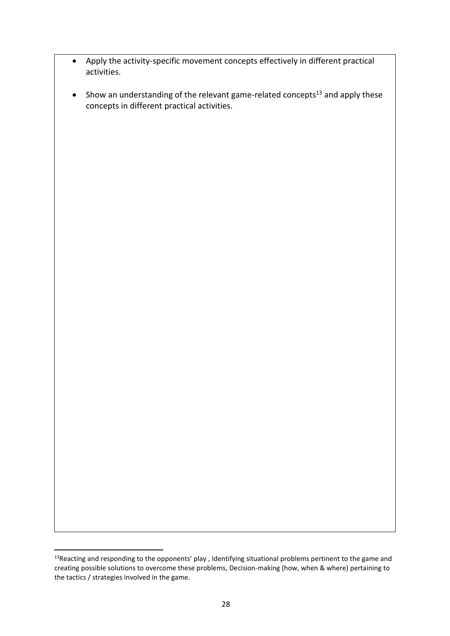- Apply the activity-specific movement concepts effectively in different practical activities.
- $\bullet$  Show an understanding of the relevant game-related concepts<sup>13</sup> and apply these concepts in different practical activities.

**.** 

<sup>&</sup>lt;sup>13</sup>Reacting and responding to the opponents' play, Identifying situational problems pertinent to the game and creating possible solutions to overcome these problems, Decision-making (how, when & where) pertaining to the tactics / strategies involved in the game.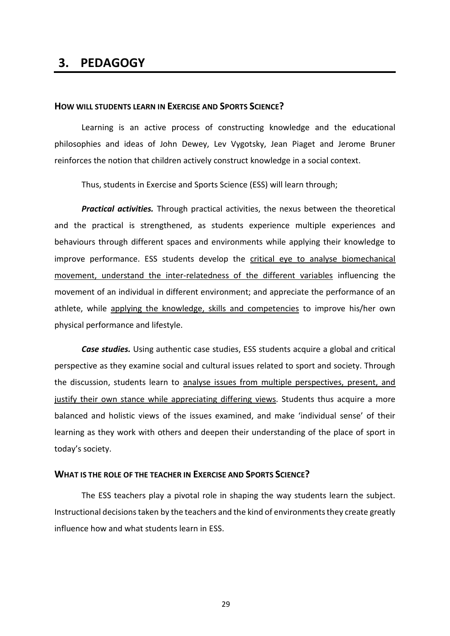### **3. PEDAGOGY**

#### **HOW WILL STUDENTS LEARN IN EXERCISE AND SPORTS SCIENCE?**

Learning is an active process of constructing knowledge and the educational philosophies and ideas of John Dewey, Lev Vygotsky, Jean Piaget and Jerome Bruner reinforces the notion that children actively construct knowledge in a social context.

Thus, students in Exercise and Sports Science (ESS) will learn through;

*Practical activities.* Through practical activities, the nexus between the theoretical and the practical is strengthened, as students experience multiple experiences and behaviours through different spaces and environments while applying their knowledge to improve performance. ESS students develop the critical eye to analyse biomechanical movement, understand the inter-relatedness of the different variables influencing the movement of an individual in different environment; and appreciate the performance of an athlete, while applying the knowledge, skills and competencies to improve his/her own physical performance and lifestyle.

*Case studies.* Using authentic case studies, ESS students acquire a global and critical perspective as they examine social and cultural issues related to sport and society. Through the discussion, students learn to analyse issues from multiple perspectives, present, and justify their own stance while appreciating differing views. Students thus acquire a more balanced and holistic views of the issues examined, and make 'individual sense' of their learning as they work with others and deepen their understanding of the place of sport in today's society.

#### **WHAT IS THE ROLE OF THE TEACHER IN EXERCISE AND SPORTS SCIENCE?**

The ESS teachers play a pivotal role in shaping the way students learn the subject. Instructional decisions taken by the teachers and the kind of environments they create greatly influence how and what students learn in ESS.

29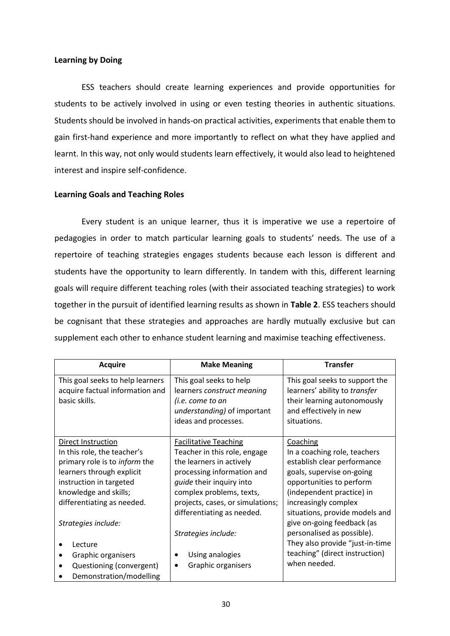#### **Learning by Doing**

ESS teachers should create learning experiences and provide opportunities for students to be actively involved in using or even testing theories in authentic situations. Students should be involved in hands-on practical activities, experiments that enable them to gain first-hand experience and more importantly to reflect on what they have applied and learnt. In this way, not only would students learn effectively, it would also lead to heightened interest and inspire self-confidence.

#### **Learning Goals and Teaching Roles**

Every student is an unique learner, thus it is imperative we use a repertoire of pedagogies in order to match particular learning goals to students' needs. The use of a repertoire of teaching strategies engages students because each lesson is different and students have the opportunity to learn differently. In tandem with this, different learning goals will require different teaching roles (with their associated teaching strategies) to work together in the pursuit of identified learning results as shown in **Table 2**. ESS teachers should be cognisant that these strategies and approaches are hardly mutually exclusive but can supplement each other to enhance student learning and maximise teaching effectiveness.

| <b>Acquire</b>                                                                                                                                                                                                                  | <b>Make Meaning</b>                                                                                                                                                                                                                                     | <b>Transfer</b>                                                                                                                                                                                                                                       |
|---------------------------------------------------------------------------------------------------------------------------------------------------------------------------------------------------------------------------------|---------------------------------------------------------------------------------------------------------------------------------------------------------------------------------------------------------------------------------------------------------|-------------------------------------------------------------------------------------------------------------------------------------------------------------------------------------------------------------------------------------------------------|
| This goal seeks to help learners<br>acquire factual information and<br>basic skills.                                                                                                                                            | This goal seeks to help<br>learners construct meaning<br>(i.e. come to an<br>understanding) of important<br>ideas and processes.                                                                                                                        | This goal seeks to support the<br>learners' ability to transfer<br>their learning autonomously<br>and effectively in new<br>situations.                                                                                                               |
| Direct Instruction<br>In this role, the teacher's<br>primary role is to <i>inform</i> the<br>learners through explicit<br>instruction in targeted<br>knowledge and skills;<br>differentiating as needed.<br>Strategies include: | <b>Facilitative Teaching</b><br>Teacher in this role, engage<br>the learners in actively<br>processing information and<br><i>guide</i> their inquiry into<br>complex problems, texts,<br>projects, cases, or simulations;<br>differentiating as needed. | Coaching<br>In a coaching role, teachers<br>establish clear performance<br>goals, supervise on-going<br>opportunities to perform<br>(independent practice) in<br>increasingly complex<br>situations, provide models and<br>give on-going feedback (as |
| Lecture<br>Graphic organisers<br>Questioning (convergent)<br>Demonstration/modelling                                                                                                                                            | Strategies include:<br>Using analogies<br>Graphic organisers                                                                                                                                                                                            | personalised as possible).<br>They also provide "just-in-time<br>teaching" (direct instruction)<br>when needed.                                                                                                                                       |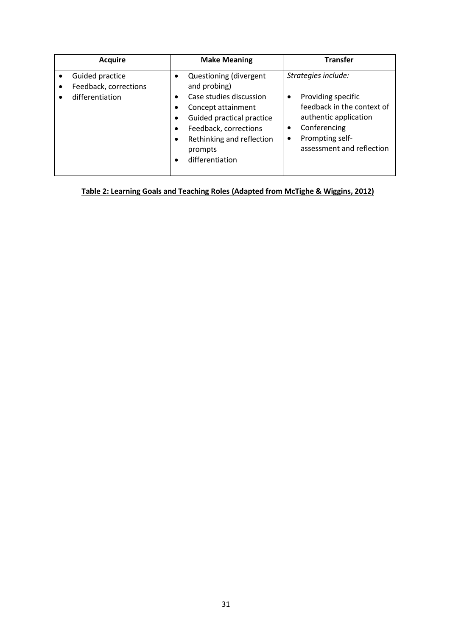| <b>Acquire</b>                                              | <b>Make Meaning</b>                                                                                                                                                                                      | <b>Transfer</b>                                                                                                                                                                                 |
|-------------------------------------------------------------|----------------------------------------------------------------------------------------------------------------------------------------------------------------------------------------------------------|-------------------------------------------------------------------------------------------------------------------------------------------------------------------------------------------------|
| Guided practice<br>Feedback, corrections<br>differentiation | Questioning (divergent<br>and probing)<br>Case studies discussion<br>Concept attainment<br>Guided practical practice<br>Feedback, corrections<br>Rethinking and reflection<br>prompts<br>differentiation | Strategies include:<br>Providing specific<br>٠<br>feedback in the context of<br>authentic application<br>Conferencing<br>$\bullet$<br>Prompting self-<br>$\bullet$<br>assessment and reflection |

**Table 2: Learning Goals and Teaching Roles (Adapted from McTighe & Wiggins, 2012)**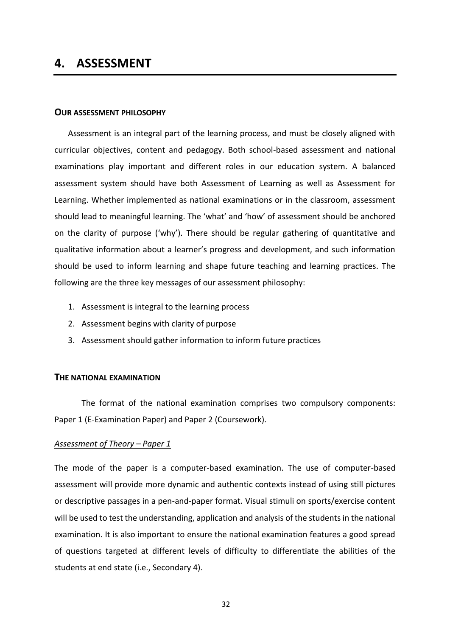# **4. ASSESSMENT**

#### **OUR ASSESSMENT PHILOSOPHY**

Assessment is an integral part of the learning process, and must be closely aligned with curricular objectives, content and pedagogy. Both school-based assessment and national examinations play important and different roles in our education system. A balanced assessment system should have both Assessment of Learning as well as Assessment for Learning. Whether implemented as national examinations or in the classroom, assessment should lead to meaningful learning. The 'what' and 'how' of assessment should be anchored on the clarity of purpose ('why'). There should be regular gathering of quantitative and qualitative information about a learner's progress and development, and such information should be used to inform learning and shape future teaching and learning practices. The following are the three key messages of our assessment philosophy:

- 1. Assessment is integral to the learning process
- 2. Assessment begins with clarity of purpose
- 3. Assessment should gather information to inform future practices

#### **THE NATIONAL EXAMINATION**

The format of the national examination comprises two compulsory components: Paper 1 (E-Examination Paper) and Paper 2 (Coursework).

#### *Assessment of Theory – Paper 1*

The mode of the paper is a computer-based examination. The use of computer-based assessment will provide more dynamic and authentic contexts instead of using still pictures or descriptive passages in a pen-and-paper format. Visual stimuli on sports/exercise content will be used to test the understanding, application and analysis of the students in the national examination. It is also important to ensure the national examination features a good spread of questions targeted at different levels of difficulty to differentiate the abilities of the students at end state (i.e., Secondary 4).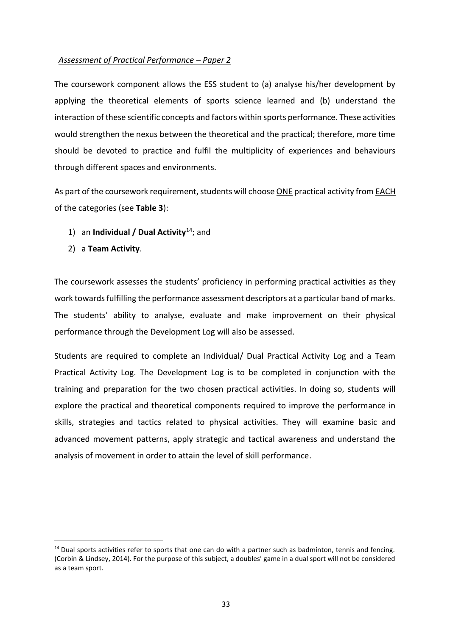#### *Assessment of Practical Performance – Paper 2*

The coursework component allows the ESS student to (a) analyse his/her development by applying the theoretical elements of sports science learned and (b) understand the interaction of these scientific concepts and factors within sports performance. These activities would strengthen the nexus between the theoretical and the practical; therefore, more time should be devoted to practice and fulfil the multiplicity of experiences and behaviours through different spaces and environments.

As part of the coursework requirement, students will choose ONE practical activity from EACH of the categories (see **Table 3**):

- 1) an **Individual / Dual Activity**<sup>14</sup>; and
- 2) a **Team Activity**.

1

The coursework assesses the students' proficiency in performing practical activities as they work towards fulfilling the performance assessment descriptors at a particular band of marks. The students' ability to analyse, evaluate and make improvement on their physical performance through the Development Log will also be assessed.

Students are required to complete an Individual/ Dual Practical Activity Log and a Team Practical Activity Log. The Development Log is to be completed in conjunction with the training and preparation for the two chosen practical activities. In doing so, students will explore the practical and theoretical components required to improve the performance in skills, strategies and tactics related to physical activities. They will examine basic and advanced movement patterns, apply strategic and tactical awareness and understand the analysis of movement in order to attain the level of skill performance.

 $14$  Dual sports activities refer to sports that one can do with a partner such as badminton, tennis and fencing. (Corbin & Lindsey, 2014). For the purpose of this subject, a doubles' game in a dual sport will not be considered as a team sport.